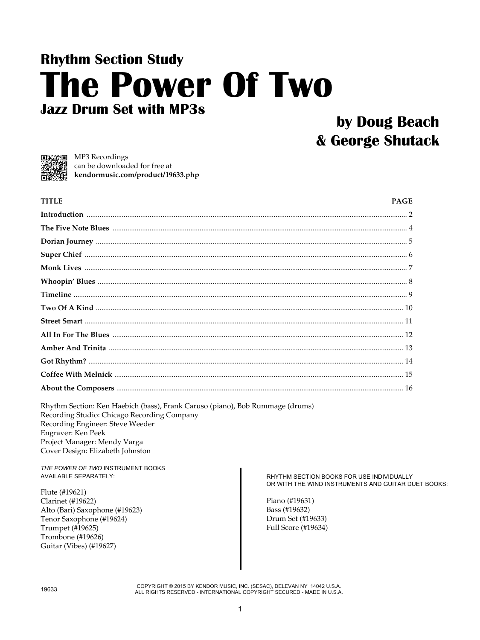# **Rhythm Section Study The Power Of Two Jazz Drum Set with MP3s**

## by Doug Beach & George Shutack



□無論■ MP3 Recordings can be downloaded for free at kendormusic.com/product/19633.php

| <b>TITLE</b> | <b>PAGE</b> |
|--------------|-------------|
|              |             |
|              |             |
|              |             |
|              |             |
|              |             |
|              |             |
|              |             |
|              |             |
|              |             |
|              |             |
|              |             |
|              |             |
|              |             |
|              |             |

Rhythm Section: Ken Haebich (bass), Frank Caruso (piano), Bob Rummage (drums) Recording Studio: Chicago Recording Company Recording Engineer: Steve Weeder Engraver: Ken Peek Project Manager: Mendy Varga Cover Design: Elizabeth Johnston

THE POWER OF TWO INSTRUMENT BOOKS **AVAILABLE SEPARATELY:** 

Flute (#19621) **Clarinet** (#19622) Alto (Bari) Saxophone (#19623) Tenor Saxophone (#19624) Trumpet (#19625) Trombone (#19626) Guitar (Vibes) (#19627)

RHYTHM SECTION BOOKS FOR USE INDIVIDUALLY OR WITH THE WIND INSTRUMENTS AND GUITAR DUET BOOKS:

Piano (#19631) Bass (#19632) Drum Set (#19633) Full Score (#19634)

COPYRIGHT © 2015 BY KENDOR MUSIC, INC. (SESAC), DELEVAN NY 14042 U.S.A. ALL RIGHTS RESERVED - INTERNATIONAL COPYRIGHT SECURED - MADE IN U.S.A.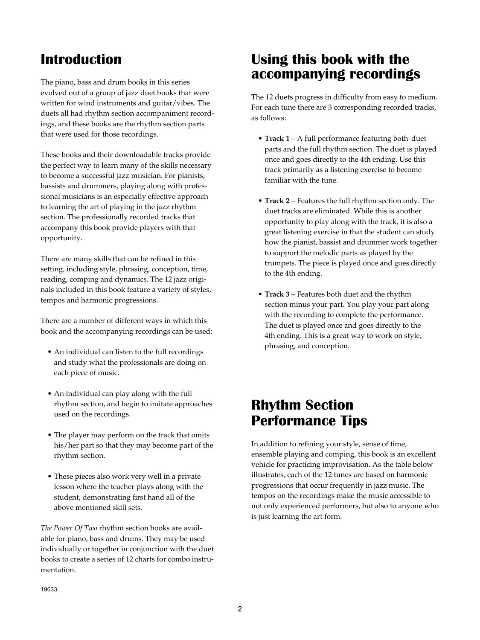#### **Introduction**

The piano, bass and drum books in this series evolved out of a group of jazz duet books that were written for wind instruments and guitar/vibes. The duets all had rhythm section accompaniment recordings, and these books are the rhythm section parts that were used for those recordings.

These books and their downloadable tracks provide the perfect way to learn many of the skills necessary to become a successful jazz musician. For pianists, bassists and drummers, playing along with professional musicians is an especially effective approach to learning the art of playing in the jazz rhythm section. The professionally recorded tracks that accompany this book provide players with that opportunity.

There are many skills that can be refined in this setting, including style, phrasing, conception, time, reading, comping and dynamics. The 12 jazz originals included in this book feature a variety of styles, tempos and harmonic progressions.

There are a number of different ways in which this book and the accompanying recordings can be used:

- An individual can listen to the full recordings and study what the professionals are doing on each piece of music.
- An individual can play along with the full rhythm section, and begin to imitate approaches used on the recordings.
- The player may perform on the track that omits his/her part so that they may become part of the rhythm section.
- These pieces also work very well in a private lesson where the teacher plays along with the student, demonstrating first hand all of the above mentioned skill sets.

*The Power Of Two* rhythm section books are available for piano, bass and drums. They may be used individually or together in conjunction with the duet books to create a series of 12 charts for combo instrumentation.

### **Using this book with the accompanying recordings**

The 12 duets progress in difficulty from easy to medium. For each tune there are 3 corresponding recorded tracks, as follows:

- **• Track 1** A full performance featuring both duet parts and the full rhythm section. The duet is played once and goes directly to the 4th ending. Use this track primarily as a listening exercise to become familiar with the tune.
- **• Track 2** Features the full rhythm section only. The duet tracks are eliminated. While this is another opportunity to play along with the track, it is also a great listening exercise in that the student can study how the pianist, bassist and drummer work together to support the melodic parts as played by the trumpets. The piece is played once and goes directly to the 4th ending.
- **Track 3** Features both duet and the rhythm section minus your part. You play your part along with the recording to complete the performance. The duet is played once and goes directly to the 4th ending. This is a great way to work on style, phrasing, and conception.

#### **Rhythm Section Performance Tips**

In addition to refining your style, sense of time, ensemble playing and comping, this book is an excellent vehicle for practicing improvisation. As the table below illustrates, each of the 12 tunes are based on harmonic progressions that occur frequently in jazz music. The tempos on the recordings make the music accessible to not only experienced performers, but also to anyone who is just learning the art form.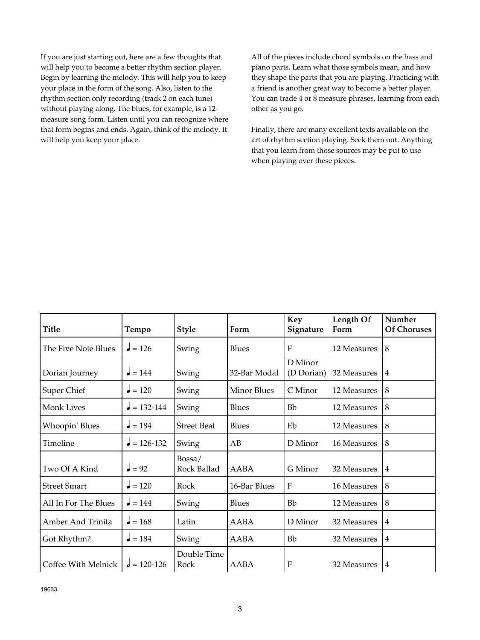If you are just starting out, here are a few thoughts that will help you to become a better rhythm section player. Begin by learning the melody. This will help you to keep your place in the form of the song. Also, listen to the rhythm section only recording (track 2 on each tune) without playing along. The blues, for example, is a 12 measure song form. Listen until you can recognize where that form begins and ends. Again, think of the melody. It will help you keep your place.

All of the pieces include chord symbols on the bass and piano parts. Learn what those symbols mean, and how they shape the parts that you are playing. Practicing with a friend is another great way to become a better player. You can trade 4 or 8 measure phrases, learning from each other as you go.

Finally, there are many excellent texts available on the art of rhythm section playing. Seek them out. Anything that you learn from those sources may be put to use when playing over these pieces.

| <b>Title</b>          | Tempo             | <b>Style</b>          | Form               | <b>Key</b><br>Signature | Length Of<br>Form  | Number<br><b>Of Choruses</b> |
|-----------------------|-------------------|-----------------------|--------------------|-------------------------|--------------------|------------------------------|
| The Five Note Blues   | $= 126$           | Swing                 | <b>Blues</b>       | F                       | 12 Measures        | 8                            |
| Dorian Journey        | $= 144$           | Swing                 | 32-Bar Modal       | D Minor<br>(D Dorian)   | 32 Measures        | $\overline{4}$               |
| Super Chief           | $= 120$           | Swing                 | <b>Minor Blues</b> | C Minor                 | 12 Measures        | 8                            |
| Monk Lives            | $= 132 - 144$     | Swing                 | <b>Blues</b>       | <b>Bb</b>               | 12 Measures        | 8                            |
| <b>Whoopin' Blues</b> | $= 184$           | <b>Street Beat</b>    | <b>Blues</b>       | Eb                      | 12 Measures        | 8                            |
| Timeline              | $= 126 - 132$     | Swing                 | AB                 | D Minor                 | <b>16 Measures</b> | 8                            |
| Two Of A Kind         | $\mathbf{J} = 92$ | Bossa/<br>Rock Ballad | <b>AABA</b>        | G Minor                 | 32 Measures        | $\overline{4}$               |
| <b>Street Smart</b>   | $= 120$           | Rock                  | 16-Bar Blues       | F                       | <b>16 Measures</b> | 8                            |
| All In For The Blues  | $= 144$           | Swing                 | <b>Blues</b>       | Bb                      | 12 Measures        | 8                            |
| Amber And Trinita     | $= 168$           | Latin                 | <b>AABA</b>        | D Minor                 | 32 Measures        | $\overline{4}$               |
| Got Rhythm?           | $\bullet = 184$   | Swing                 | <b>AABA</b>        | <b>Bb</b>               | 32 Measures        | $\overline{4}$               |
| Coffee With Melnick   | $d = 120 - 126$   | Double Time<br>Rock   | AABA               | F                       | 32 Measures        | $\overline{4}$               |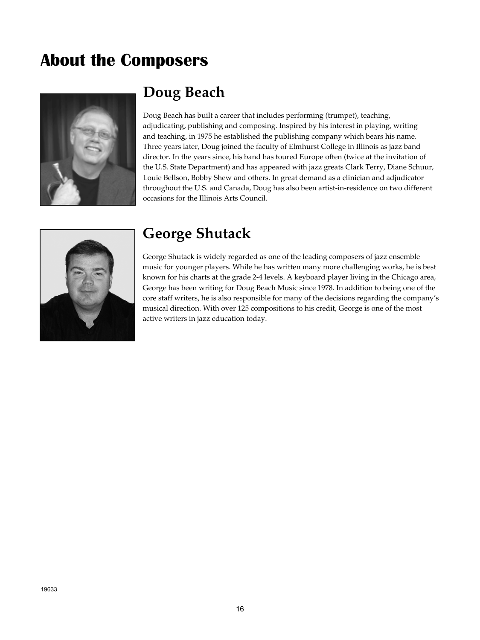## **About the Composers**



## **Doug Beach**

Doug Beach has built a career that includes performing (trumpet), teaching, adjudicating, publishing and composing. Inspired by his interest in playing, writing and teaching, in 1975 he established the publishing company which bears his name. Three years later, Doug joined the faculty of Elmhurst College in Illinois as jazz band director. In the years since, his band has toured Europe often (twice at the invitation of the U.S. State Department) and has appeared with jazz greats Clark Terry, Diane Schuur, Louie Bellson, Bobby Shew and others. In great demand as a clinician and adjudicator throughout the U.S. and Canada, Doug has also been artist-in-residence on two different occasions for the Illinois Arts Council.



### **George Shutack**

George Shutack is widely regarded as one of the leading composers of jazz ensemble music for younger players. While he has written many more challenging works, he is best known for his charts at the grade 2-4 levels. A keyboard player living in the Chicago area, George has been writing for Doug Beach Music since 1978. In addition to being one of the core staff writers, he is also responsible for many of the decisions regarding the company's musical direction. With over 125 compositions to his credit, George is one of the most active writers in jazz education today.